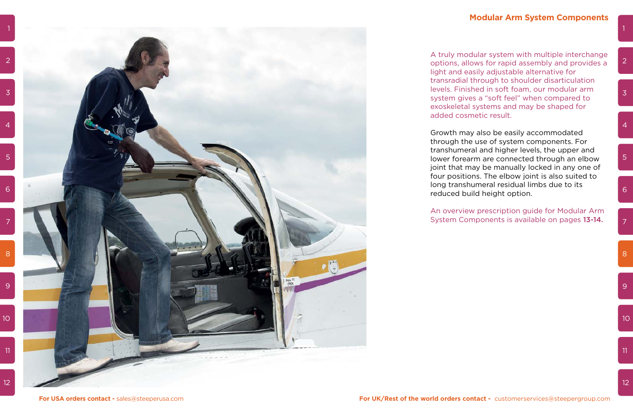A truly modular system with multiple interchange options, allows for rapid assembly and provides a light and easily adjustable alternative for transradial through to shoulder disarticulation levels. Finished in soft foam, our modular arm system gives a "soft feel" when compared to exoskeletal systems and may be shaped for added cosmetic result.

Growth may also be easily accommodated through the use of system components. For transhumeral and higher levels, the upper and lower forearm are connected through an elbow joint that may be manually locked in any one of four positions. The elbow joint is also suited to long transhumeral residual limbs due to its reduced build height option.

An overview prescription guide for Modular Arm System Components is available on pages 13-14.

 $\overline{3}$ 

 $\overline{4}$ 

 $5<sup>°</sup>$ 

 $6<sup>1</sup>$ 

8

 $\overline{7}$ 

 $10<sup>°</sup>$ 

 $\overline{11}$ 

 $12<sup>°</sup>$ 

 $9<sup>°</sup>$ 

### **Modular Arm System Components**

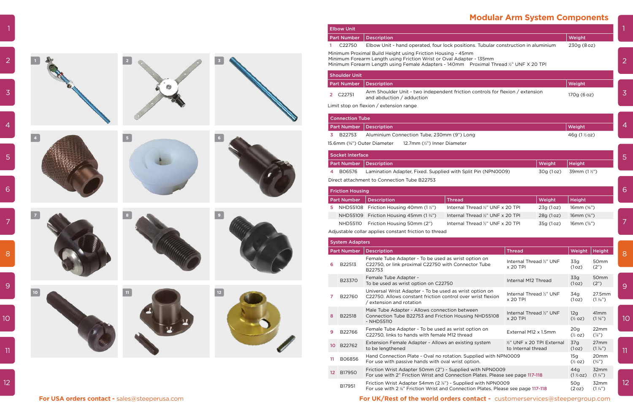| <b>Ibow Unit</b>                                                                                                                                                                                                        |                                                                                                            |             |  |  |  |  |
|-------------------------------------------------------------------------------------------------------------------------------------------------------------------------------------------------------------------------|------------------------------------------------------------------------------------------------------------|-------------|--|--|--|--|
| art Number                                                                                                                                                                                                              | <b>Description</b>                                                                                         | Weight      |  |  |  |  |
| C <sub>22750</sub>                                                                                                                                                                                                      | Elbow Unit - hand operated, four lock positions. Tubular construction in aluminium                         | 230g (8 oz) |  |  |  |  |
| inimum Proximal Build Height using Friction Housing - 45mm<br>inimum Forearm Length using Friction Wrist or Oval Adapter - 135mm<br>inimum Forearm Length using Female Adapters - 140mm Proximal Thread ½" UNF X 20 TPI |                                                                                                            |             |  |  |  |  |
| houlder Unit                                                                                                                                                                                                            |                                                                                                            |             |  |  |  |  |
| art Number                                                                                                                                                                                                              | <b>Description</b>                                                                                         | Weight      |  |  |  |  |
| C22751                                                                                                                                                                                                                  | Arm Shoulder Unit - two independent friction controls for flexion / extension<br>and abduction / adduction | 170g (6 oz) |  |  |  |  |
|                                                                                                                                                                                                                         |                                                                                                            |             |  |  |  |  |

| <b>Connection Tube</b>                                  |                                                              |           |                       |   |  |  |
|---------------------------------------------------------|--------------------------------------------------------------|-----------|-----------------------|---|--|--|
| <b>Part Number</b><br><b>Description</b>                |                                                              |           | Weight                | 4 |  |  |
| B22753<br>3                                             | Aluminium Connection Tube, 230mm (9") Long                   |           | 46g $(1\%$ oz)        |   |  |  |
| 5.6mm (%") Outer Diameter<br>12.7mm (½") Inner Diameter |                                                              |           |                       |   |  |  |
| <b>Socket Interface</b>                                 |                                                              |           |                       | 5 |  |  |
| <b>Part Number</b>                                      | <b>Description</b>                                           | Weight    | Height                |   |  |  |
| B06576<br>4                                             | Lamination Adapter, Fixed. Supplied with Split Pin (NPN0009) | 30g (1oz) | 39mm $(1\frac{1}{2})$ |   |  |  |

| <b>Connection Tube</b>                             |                                                                     |           |                         |   |  |  |  |
|----------------------------------------------------|---------------------------------------------------------------------|-----------|-------------------------|---|--|--|--|
| <b>Part Number</b><br>Weight<br><b>Description</b> |                                                                     |           |                         |   |  |  |  |
| B22753                                             | Aluminium Connection Tube, 230mm (9") Long                          |           | 46g $(1\frac{1}{2}$ oz) |   |  |  |  |
|                                                    | 15.6mm (%") Outer Diameter<br>12.7mm $(\frac{1}{2})$ Inner Diameter |           |                         |   |  |  |  |
| <b>Socket Interface</b>                            |                                                                     |           |                         | 5 |  |  |  |
| <b>Part Number</b>                                 | <b>Description</b>                                                  | Weight    | <b>Height</b>           |   |  |  |  |
| B06576<br>4                                        | Lamination Adapter, Fixed. Supplied with Split Pin (NPN0009)        | 30g (1oz) | 39mm $(1 \frac{1}{2})$  |   |  |  |  |

|                                               |      |                | <b>Elbow Unit</b>       |                                                                                                                                                                                                                              |                                   |                                                  |           |                           |                                      |
|-----------------------------------------------|------|----------------|-------------------------|------------------------------------------------------------------------------------------------------------------------------------------------------------------------------------------------------------------------------|-----------------------------------|--------------------------------------------------|-----------|---------------------------|--------------------------------------|
|                                               |      |                | <b>Part Number</b>      | Description                                                                                                                                                                                                                  |                                   |                                                  |           | Weight                    |                                      |
|                                               |      |                | C22750                  | Elbow Unit - hand operated, four lock positions. Tubular construction in aluminium                                                                                                                                           |                                   |                                                  |           | 230g (8 oz)               |                                      |
|                                               |      |                |                         | Minimum Proximal Build Height using Friction Housing - 45mm<br>Minimum Forearm Length using Friction Wrist or Oval Adapter - 135mm<br>Minimum Forearm Length using Female Adapters - 140mm Proximal Thread 1/2" UNF X 20 TPI |                                   |                                                  |           |                           |                                      |
|                                               |      |                | <b>Shoulder Unit</b>    |                                                                                                                                                                                                                              |                                   |                                                  |           |                           |                                      |
|                                               |      |                |                         | Part Number   Description                                                                                                                                                                                                    |                                   |                                                  |           | Weight                    |                                      |
|                                               |      |                | 2 C22751                | Arm Shoulder Unit - two independent friction controls for flexion / extension<br>and abduction / adduction                                                                                                                   |                                   |                                                  |           | 170g (6 oz)               |                                      |
|                                               |      |                |                         | Limit stop on flexion / extension range                                                                                                                                                                                      |                                   |                                                  |           |                           |                                      |
|                                               |      |                | <b>Connection Tube</b>  |                                                                                                                                                                                                                              |                                   |                                                  |           |                           |                                      |
|                                               |      |                |                         | <b>Part Number Description</b>                                                                                                                                                                                               |                                   |                                                  |           | Weight                    |                                      |
|                                               | $-5$ |                | 3 B22753                | Aluminium Connection Tube, 230mm (9") Long                                                                                                                                                                                   |                                   |                                                  |           | 46g (1½ oz)               |                                      |
|                                               |      |                |                         | 15.6mm (%") Outer Diameter<br>12.7mm (½") Inner Diameter                                                                                                                                                                     |                                   |                                                  |           |                           |                                      |
|                                               |      |                | Socket Interface        |                                                                                                                                                                                                                              |                                   |                                                  |           |                           |                                      |
|                                               |      |                |                         | <b>Part Number   Description</b>                                                                                                                                                                                             |                                   |                                                  | Weight    | Height                    |                                      |
|                                               |      |                | B06576                  | Lamination Adapter, Fixed. Supplied with Split Pin (NPN0009)                                                                                                                                                                 |                                   |                                                  | 30g (1oz) | 39mm (1½")                |                                      |
|                                               |      |                |                         | Direct attachment to Connection Tube B22753                                                                                                                                                                                  |                                   |                                                  |           |                           |                                      |
|                                               |      |                | <b>Friction Housing</b> |                                                                                                                                                                                                                              |                                   |                                                  |           |                           |                                      |
|                                               |      |                |                         | Part Number   Description                                                                                                                                                                                                    | Thread                            |                                                  | Weight    | Height                    |                                      |
|                                               |      |                |                         | 5 NHD55108 Friction Housing 40mm $(1 \frac{1}{2})$                                                                                                                                                                           | Internal Thread 1/2" UNF x 20 TPI |                                                  | 23g (1oz) | 16mm (%")                 |                                      |
|                                               |      | $\overline{9}$ |                         | NHD55109 Friction Housing 45mm (1 3/4")                                                                                                                                                                                      | Internal Thread 1/2" UNF x 20 TPI |                                                  | 28g (1oz) | 16mm (%")                 |                                      |
|                                               |      |                |                         | NHD55110 Friction Housing 50mm (2")                                                                                                                                                                                          | Internal Thread 1/2" UNF x 20 TPI |                                                  | 35g (1oz) | 16mm $(\frac{5}{6})$      |                                      |
|                                               |      |                |                         | Adjustable collar applies constant friction to thread                                                                                                                                                                        |                                   |                                                  |           |                           |                                      |
|                                               |      |                | <b>System Adapters</b>  |                                                                                                                                                                                                                              |                                   |                                                  |           |                           |                                      |
|                                               |      |                |                         | Part Number   Description                                                                                                                                                                                                    |                                   | <b>Thread</b>                                    |           |                           | Weight   Height                      |
|                                               |      |                | B22513<br>6             | Female Tube Adapter - To be used as wrist option on<br>C22750, or link proximal C22750 with Connector Tube<br>B22753                                                                                                         |                                   | Internal Thread 1/2" UNF<br>x 20 TPI             |           | 33g<br>(1oz)              | 50mm<br>(2")                         |
|                                               |      |                | B23370                  | Female Tube Adapter -<br>To be used as wrist option on C22750                                                                                                                                                                |                                   | Internal M12 Thread                              |           | 33g<br>(1oz)              | 50mm<br>(2")                         |
|                                               |      | $\frac{12}{1}$ | B22760                  | Universal Wrist Adapter - To be used as wrist option on<br>C22750. Allows constant friction control over wrist flexion<br>/ extension and rotation                                                                           |                                   | Internal Thread 1/2" UNF<br>x 20 TPI             |           | 34g<br>(1oz)              | 27.5mm<br>$(1\frac{1}{6})$           |
|                                               |      |                | B22518<br>8             | Male Tube Adapter - Allows connection between<br>Connection Tube B22753 and Friction Housing NHD55108<br>- NHD55110                                                                                                          |                                   | Internal Thread 1/2" UNF<br>x 20 TPI             |           | 12g<br>$(\frac{1}{2}$ oz) | 41 <sub>mm</sub><br>$(1\frac{5}{8})$ |
|                                               |      |                | B22766<br>9             | Female Tube Adapter - To be used as wrist option on<br>C22750, links to hands with female M12 thread                                                                                                                         |                                   | External M12 x 1.5mm                             |           | 20g<br>$(\frac{1}{2}$ oz) | 22mm<br>$(\frac{7}{8})$              |
|                                               |      |                | 10 B22762               | Extension Female Adapter - Allows an existing system<br>to be lengthened                                                                                                                                                     |                                   | 1/2" UNF x 20 TPI External<br>to Internal thread |           | 37g<br>(1oz)              | 27mm<br>$(1\frac{1}{6})$             |
|                                               |      |                | B06856<br>11            | Hand Connection Plate - Oval no rotation. Supplied with NPN0009<br>For use with passive hands with oval wrist option.                                                                                                        |                                   |                                                  |           | 15g<br>$(\frac{1}{2}$ oz) | 20mm<br>$(\frac{3}{4})$              |
|                                               |      |                | 12 B17950               | Friction Wrist Adapter 50mm (2") - Supplied with NPN0009<br>For use with 2" Friction Wrist and Connection Plates. Please see page 117-118                                                                                    |                                   |                                                  |           | 44g<br>$(1\%$ oz)         | 32mm<br>$(1\frac{1}{4})$             |
|                                               |      |                | B17951                  | Friction Wrist Adapter 54mm (2 %") - Supplied with NPN0009<br>For use with 2 %" Friction Wrist and Connection Plates. Please see page 117-118                                                                                |                                   |                                                  |           | 50g<br>(2 oz)             | 32mm<br>$(1\frac{1}{4})$             |
| For USA orders contact - sales@steeperusa.com |      |                |                         | <b>For UK/Rest of the world orders contact -</b> customerservices@steepergroup.com                                                                                                                                           |                                   |                                                  |           |                           |                                      |

|                 | <b>Elbow Unit</b>                  |                                                                                                                                                                                                                            |                                                                        |                                                  |                        |                                       |                                      |                 |
|-----------------|------------------------------------|----------------------------------------------------------------------------------------------------------------------------------------------------------------------------------------------------------------------------|------------------------------------------------------------------------|--------------------------------------------------|------------------------|---------------------------------------|--------------------------------------|-----------------|
|                 | <b>Part Number</b>                 | <b>Description</b>                                                                                                                                                                                                         |                                                                        |                                                  |                        | Weight                                |                                      |                 |
| $\mathbf{1}$    | C22750                             | Elbow Unit - hand operated, four lock positions. Tubular construction in aluminium                                                                                                                                         |                                                                        |                                                  |                        | 230g (8 oz)                           |                                      |                 |
|                 |                                    | Minimum Proximal Build Height using Friction Housing - 45mm<br>Minimum Forearm Length using Friction Wrist or Oval Adapter - 135mm<br>Minimum Forearm Length using Female Adapters - 140mm Proximal Thread ½" UNF X 20 TPI |                                                                        |                                                  |                        |                                       |                                      | $\overline{2}$  |
|                 | <b>Shoulder Unit</b>               |                                                                                                                                                                                                                            |                                                                        |                                                  |                        |                                       |                                      |                 |
|                 | <b>Part Number</b>                 | <b>Description</b>                                                                                                                                                                                                         |                                                                        |                                                  |                        | Weight                                |                                      |                 |
|                 | 2 C22751                           | Arm Shoulder Unit - two independent friction controls for flexion / extension<br>and abduction / adduction                                                                                                                 |                                                                        |                                                  |                        | 170g (6 oz)                           |                                      | 3               |
|                 |                                    | Limit stop on flexion / extension range                                                                                                                                                                                    |                                                                        |                                                  |                        |                                       |                                      |                 |
|                 | <b>Connection Tube</b>             |                                                                                                                                                                                                                            |                                                                        |                                                  |                        |                                       |                                      |                 |
|                 | <b>Part Number</b>                 | <b>Description</b>                                                                                                                                                                                                         |                                                                        |                                                  |                        | Weight                                |                                      | 4               |
| 3.              | B22753                             | Aluminium Connection Tube, 230mm (9") Long                                                                                                                                                                                 |                                                                        |                                                  |                        | 46g (1½ oz)                           |                                      |                 |
|                 |                                    | 15.6mm (%") Outer Diameter<br>12.7mm (½") Inner Diameter                                                                                                                                                                   |                                                                        |                                                  |                        |                                       |                                      |                 |
|                 | <b>Socket Interface</b>            |                                                                                                                                                                                                                            |                                                                        |                                                  |                        |                                       |                                      |                 |
|                 | <b>Part Number</b>                 | <b>Description</b>                                                                                                                                                                                                         |                                                                        |                                                  | Weight                 | <b>Height</b>                         |                                      | 5               |
| 4               | B06576                             | Lamination Adapter, Fixed. Supplied with Split Pin (NPN0009)                                                                                                                                                               |                                                                        |                                                  | 30g (1oz)              | 39mm (1½")                            |                                      |                 |
|                 |                                    | Direct attachment to Connection Tube B22753                                                                                                                                                                                |                                                                        |                                                  |                        |                                       |                                      |                 |
|                 |                                    |                                                                                                                                                                                                                            |                                                                        |                                                  |                        |                                       |                                      | 6               |
|                 | <b>Friction Housing</b>            |                                                                                                                                                                                                                            |                                                                        |                                                  |                        |                                       |                                      |                 |
|                 | <b>Part Number</b>                 | <b>Description</b>                                                                                                                                                                                                         | <b>Thread</b>                                                          |                                                  | Weight                 | <b>Height</b>                         |                                      |                 |
| 5               | <b>NHD55108</b>                    | Friction Housing 40mm $(12)$                                                                                                                                                                                               | Internal Thread 1/2" UNF x 20 TPI                                      |                                                  | 23g (1oz)              | 16mm (%")                             |                                      |                 |
|                 | <b>NHD55109</b><br><b>NHD55110</b> | Friction Housing 45mm $(1\frac{3}{4})$<br>Friction Housing 50mm (2")                                                                                                                                                       | Internal Thread 1/2" UNF x 20 TPI<br>Internal Thread 1/2" UNF x 20 TPI |                                                  | 28g (1oz)<br>35g (1oz) | 16mm $(\frac{5}{6})$<br>16mm $(*)$ ") |                                      | 7               |
|                 |                                    | Adjustable collar applies constant friction to thread                                                                                                                                                                      |                                                                        |                                                  |                        |                                       |                                      |                 |
|                 |                                    |                                                                                                                                                                                                                            |                                                                        |                                                  |                        |                                       |                                      |                 |
|                 | <b>System Adapters</b>             |                                                                                                                                                                                                                            |                                                                        |                                                  |                        |                                       |                                      |                 |
|                 | <b>Part Number</b>                 | <b>Description</b><br>Female Tube Adapter - To be used as wrist option on                                                                                                                                                  |                                                                        | <b>Thread</b>                                    |                        | Weight                                | Height                               | 8               |
| 6               | B22513                             | C22750, or link proximal C22750 with Connector Tube<br>B22753                                                                                                                                                              |                                                                        | Internal Thread 1/2" UNF<br>x 20 TPI             |                        | 33g<br>(1oz)                          | 50mm<br>(2")                         |                 |
|                 | B23370                             | Female Tube Adapter -<br>To be used as wrist option on C22750                                                                                                                                                              |                                                                        | Internal M12 Thread                              |                        | 33g<br>(1oz)                          | 50mm<br>(2")                         | 9               |
| 7               | B22760                             | Universal Wrist Adapter - To be used as wrist option on<br>C22750. Allows constant friction control over wrist flexion<br>/ extension and rotation                                                                         |                                                                        | Internal Thread 1/2" UNF<br>x 20 TPI             |                        | 34g<br>(1oz)                          | 27.5mm<br>$(1\frac{1}{6})$           |                 |
| 8               | B22518                             | Male Tube Adapter - Allows connection between<br>Connection Tube B22753 and Friction Housing NHD55108<br>- NHD55110                                                                                                        |                                                                        | Internal Thread 1/2" UNF<br>x 20 TPI             |                        | 12g<br>$(\frac{1}{2}$ oz)             | 41 <sub>mm</sub><br>$(1\frac{5}{8})$ | 10 <sup>°</sup> |
| 9               | B22766                             | Female Tube Adapter - To be used as wrist option on<br>C22750, links to hands with female M12 thread                                                                                                                       |                                                                        | External M12 x 1.5mm                             |                        | 20 <sub>g</sub><br>$(\frac{1}{2}$ oz) | 22mm<br>$(\frac{7}{8})$              |                 |
| 10              | B22762                             | Extension Female Adapter - Allows an existing system<br>to be lengthened                                                                                                                                                   |                                                                        | 1/2" UNF x 20 TPI External<br>to Internal thread |                        | 37g<br>(1oz)                          | 27mm<br>$(1\frac{1}{6})$             | 11              |
| 11              | B06856                             | Hand Connection Plate - Oval no rotation. Supplied with NPN0009<br>For use with passive hands with oval wrist option.                                                                                                      |                                                                        |                                                  |                        | 15g<br>$(\frac{1}{2}$ oz)             | 20mm<br>$(\frac{3}{4})$              |                 |
| 12 <sub>2</sub> | B17950                             | Friction Wrist Adapter 50mm (2") - Supplied with NPN0009<br>For use with 2" Friction Wrist and Connection Plates. Please see page 117-118                                                                                  |                                                                        |                                                  |                        | 44g<br>$(1\%$ oz)                     | 32mm<br>$(1\frac{1}{4})$             |                 |
|                 | R17951                             | Friction Wrist Adapter 54mm (2 %") - Supplied with NPN0009                                                                                                                                                                 |                                                                        |                                                  |                        | 50g                                   | 32mm                                 | 12 <sub>2</sub> |

|    | 6<br><b>Friction Housing</b> |                                                                                                                                                  |                                              |                                                  |           |                           |                                      |    |
|----|------------------------------|--------------------------------------------------------------------------------------------------------------------------------------------------|----------------------------------------------|--------------------------------------------------|-----------|---------------------------|--------------------------------------|----|
|    | <b>Part Number</b>           | <b>Description</b>                                                                                                                               | <b>Thread</b>                                |                                                  | Weight    | <b>Height</b>             |                                      |    |
| 5  | <b>NHD55108</b>              | Friction Housing 40mm $(1 \frac{1}{2})$                                                                                                          | Internal Thread 1/2" UNF x 20 TPI            |                                                  | 23g (1oz) | 16mm (%")                 |                                      |    |
|    |                              | NHD55109 Friction Housing 45mm $(1\frac{3}{4})$                                                                                                  | Internal Thread $\frac{1}{2}$ " UNF x 20 TPI |                                                  | 28g (1oz) | 16mm $(\frac{5}{8})$      |                                      |    |
|    | <b>NHD55110</b>              | Friction Housing 50mm (2")                                                                                                                       | Internal Thread 1/2" UNF x 20 TPI            |                                                  | 35g (1oz) | 16mm $(\frac{5}{8})$      |                                      | 7  |
|    |                              | Adjustable collar applies constant friction to thread                                                                                            |                                              |                                                  |           |                           |                                      |    |
|    | <b>System Adapters</b>       |                                                                                                                                                  |                                              |                                                  |           |                           |                                      |    |
|    | <b>Part Number</b>           | <b>Description</b>                                                                                                                               |                                              | <b>Thread</b>                                    |           | Weight                    | <b>Height</b>                        | 8  |
| 6  | B22513                       | Female Tube Adapter - To be used as wrist option on<br>C22750, or link proximal C22750 with Connector Tube<br>B22753                             |                                              | Internal Thread 1/2" UNF<br>x 20 TPI             |           | 33g<br>(1oz)              | 50 <sub>mm</sub><br>(2")             |    |
|    | B23370                       | Female Tube Adapter -<br>To be used as wrist option on C22750                                                                                    |                                              | Internal M12 Thread                              |           | 33g<br>(1oz)              | 50 <sub>mm</sub><br>(2")             | 9  |
| 7  | B22760                       | Universal Wrist Adapter - To be used as wrist option on<br>C22750. Allows constant friction control over wrist flexion<br>extension and rotation |                                              | Internal Thread 1/2" UNF<br>x 20 TPI             |           | 34g<br>(1oz)              | 27.5mm<br>$(1\frac{1}{6})$           |    |
| 8  | B22518                       | Male Tube Adapter - Allows connection between<br>Connection Tube B22753 and Friction Housing NHD55108<br>- NHD55110                              |                                              | Internal Thread 1/2" UNF<br>x 20 TPI             |           | 12q<br>$(\frac{1}{2}$ oz) | 41mm<br>$(1\frac{5}{8})$             | 10 |
| 9  | B22766                       | Female Tube Adapter - To be used as wrist option on<br>C22750, links to hands with female M12 thread                                             |                                              | External M12 x 1.5mm                             |           | 20q<br>$(\frac{1}{2}$ oz) | 22mm<br>$(\frac{7}{8})$              |    |
| 10 | B22762                       | Extension Female Adapter - Allows an existing system<br>to be lengthened                                                                         |                                              | 1/2" UNF x 20 TPI External<br>to Internal thread |           | 37q<br>(1oz)              | 27 <sub>mm</sub><br>$(1\frac{1}{6})$ | 11 |
|    |                              |                                                                                                                                                  |                                              |                                                  |           |                           |                                      |    |

|                 | <b>System Adapters</b> |                                                                                                                                                                |                                                                 |                           |                                     |                 |
|-----------------|------------------------|----------------------------------------------------------------------------------------------------------------------------------------------------------------|-----------------------------------------------------------------|---------------------------|-------------------------------------|-----------------|
|                 | <b>Part Number</b>     | <b>Description</b>                                                                                                                                             | <b>Thread</b>                                                   | Weight                    | <b>Height</b>                       | 8               |
| 6               | B22513                 | Female Tube Adapter - To be used as wrist option on<br>C22750, or link proximal C22750 with Connector Tube<br>B22753                                           | Internal Thread %" UNF<br>$x 20$ TPI                            | 33g<br>(1oz)              | 50 <sub>mm</sub><br>(2")            |                 |
|                 | B23370                 | Female Tube Adapter -<br>To be used as wrist option on C22750                                                                                                  | Internal M12 Thread                                             | 33g<br>(1oz)              | 50mm<br>(2")                        | 9               |
|                 | B22760                 | Universal Wrist Adapter - To be used as wrist option on<br>C22750. Allows constant friction control over wrist flexion<br>extension and rotation               | Internal Thread 1/2" UNF<br>x 20 TPI                            | 34g<br>(1oz)              | 27.5mm<br>$(1\frac{1}{6})$          |                 |
| 8               | B22518                 | Male Tube Adapter - Allows connection between<br>Connection Tube B22753 and Friction Housing NHD55108<br>- NHD55110                                            | Internal Thread %" UNF<br>$x 20$ TPI                            | 12g<br>$(\frac{1}{2}$ oz) | 41mm<br>$(1\frac{5}{8})$            | 10              |
| 9               | B22766                 | Female Tube Adapter - To be used as wrist option on<br>C22750, links to hands with female M12 thread                                                           | External M12 x 1.5mm                                            | 20g<br>$(\frac{1}{2}$ oz) | 22mm<br>$(\frac{7}{8})$             |                 |
| 10 <sup>°</sup> | B22762                 | Extension Female Adapter - Allows an existing system<br>to be lengthened                                                                                       | 1/3" UNF x 20 TPI External<br>to Internal thread                | 37g<br>(1oz)              | 27mm<br>$(1\frac{1}{6})$            | 11              |
| 11              | B06856                 | For use with passive hands with oval wrist option.                                                                                                             | Hand Connection Plate - Oval no rotation. Supplied with NPN0009 |                           | 20 <sub>mm</sub><br>$(\frac{3}{4})$ |                 |
| 12 <sup>2</sup> | B17950                 | Friction Wrist Adapter 50mm (2") - Supplied with NPN0009<br>44q<br>For use with 2" Friction Wrist and Connection Plates. Please see page 117-118<br>$(1\%$ oz) |                                                                 |                           | 32mm<br>$(1\frac{1}{4})$            |                 |
|                 | B17951                 | Friction Wrist Adapter 54mm (2 %") - Supplied with NPN0009<br>For use with 2 %" Friction Wrist and Connection Plates. Please see page 117-118                  |                                                                 | 50g<br>(2 <sub>oz</sub> ) | 32mm<br>$(1\frac{1}{4})$            | 12 <sup>°</sup> |

 $12<sup>°</sup>$ 

 $\overline{11}$ 

## **Modular Arm System Components**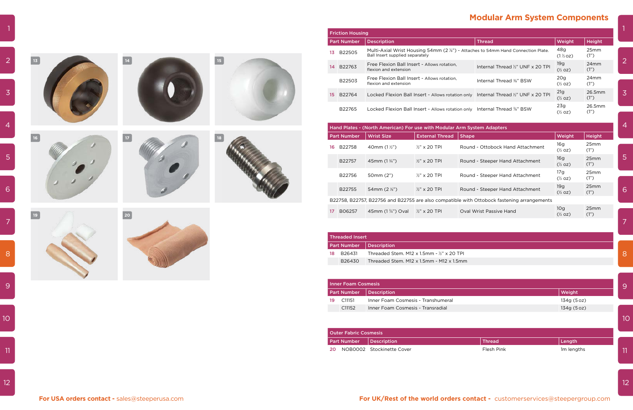$\overline{2}$ 

-5



**16**

6

-7

 $\overline{9}$ 

 $10<sup>°</sup>$ 



 $\overline{11}$ 



 $12$ 





|    | <b>Friction Housing</b>                                                                                                      |                                                                            |                                              |                           |                 |  |  |  |
|----|------------------------------------------------------------------------------------------------------------------------------|----------------------------------------------------------------------------|----------------------------------------------|---------------------------|-----------------|--|--|--|
|    | <b>Part Number</b>                                                                                                           | <b>Description</b>                                                         | <b>Thread</b>                                | Weight                    | Height          |  |  |  |
| 13 | Multi-Axial Wrist Housing 54mm (2 %") - Attaches to 54mm Hand Connection Plate.<br>B22505<br>Ball Insert supplied separately |                                                                            |                                              | 48g<br>$(1\%oz)$          | 25mm<br>(1")    |  |  |  |
| 14 | B22763                                                                                                                       | Free Flexion Ball Insert - Allows rotation.<br>flexion and extension       | Internal Thread 1/2" UNF x 20 TPI            | 19g<br>$(\frac{1}{2}$ oz) | 24mm<br>(1")    |  |  |  |
|    | B22503                                                                                                                       | Free Flexion Ball Insert - Allows rotation.<br>flexion and extension       | Internal Thread 3/8" BSW                     | 20q<br>$(\frac{1}{2}$ oz) | $24$ mm<br>(1") |  |  |  |
| 15 | B22764                                                                                                                       | Locked Flexion Ball Insert - Allows rotation only                          | Internal Thread $\frac{1}{2}$ " UNF x 20 TPI | 21g<br>$(\frac{1}{2}$ oz) | 26.5mm<br>(1")  |  |  |  |
|    | B22765                                                                                                                       | Locked Flexion Ball Insert - Allows rotation only Internal Thread 3/8" BSW |                                              | 23q<br>$(\frac{1}{2}$ oz) | 26.5mm<br>(1")  |  |  |  |

|    | Hand Plates - (North American) For use with Modular Arm System Adapters |                            |                        |                                                                                            |                           |                          |  |  |  |
|----|-------------------------------------------------------------------------|----------------------------|------------------------|--------------------------------------------------------------------------------------------|---------------------------|--------------------------|--|--|--|
|    | <b>Part Number</b>                                                      | <b>Wrist Size</b>          | <b>External Thread</b> | <b>Shape</b>                                                                               | Weight                    | Height                   |  |  |  |
| 16 | B22758                                                                  | 40mm $(1\frac{1}{2})$      | $\frac{1}{2}$ x 20 TPI | Round - Ottobock Hand Attachment                                                           | 16g<br>$(\frac{1}{2}$ oz) | 25 <sub>mm</sub><br>(1") |  |  |  |
|    | B22757                                                                  | 45mm $(1\frac{3}{4})$      | $\frac{1}{2}$ x 20 TPI | Round - Steeper Hand Attachment                                                            | 16g<br>$(\frac{1}{2}$ oz) | 25mm<br>(1")             |  |  |  |
|    | B22756                                                                  | 50mm (2")                  | $\frac{1}{2}$ x 20 TPI | Round - Steeper Hand Attachment                                                            | 17g<br>$(\frac{1}{2}$ oz) | 25mm<br>(1")             |  |  |  |
|    | B22755                                                                  | 54 mm $(2 \frac{1}{8})$    | $\frac{1}{2}$ x 20 TPI | Round - Steeper Hand Attachment                                                            | 19g<br>$(\frac{1}{2}$ oz) | 25mm<br>(1")             |  |  |  |
|    |                                                                         |                            |                        | B22758, B22757, B22756 and B22755 are also compatible with Ottobock fastening arrangements |                           |                          |  |  |  |
| 17 | B06257                                                                  | 45mm $(1\frac{3}{4})$ Oval | $\frac{1}{2}$ x 20 TPI | Oval Wrist Passive Hand                                                                    | 10q<br>$(\frac{1}{2}$ oz) | 25mm<br>(1")             |  |  |  |

|                         | <b>Threaded Insert</b> |                                                     |
|-------------------------|------------------------|-----------------------------------------------------|
| Part Number Description |                        |                                                     |
| 18.                     | B26431                 | Threaded Stem, M12 x 1.5mm - $\frac{1}{2}$ x 20 TPL |
|                         | B <sub>26430</sub>     | Threaded Stem, M12 x 1.5mm - M12 x 1.5mm            |

| <b>Outer Fabric Cosmesis</b>   |  |                          |               |           |  |  |  |
|--------------------------------|--|--------------------------|---------------|-----------|--|--|--|
| <b>Part Number Description</b> |  |                          | <b>Thread</b> | Length    |  |  |  |
|                                |  | NOROOO Stockingtto Cover | Eloch Dink    | $1m$ lonc |  |  |  |

| 14.             | B22763                       | Free Flexion Ball Insert - Allows rotation,<br>flexion and extension    |                          |              | Internal Thread 1/2" UNF x 20 TPI                                                          | 19g<br>$(\frac{1}{2}$ oz)             | 24mm<br>(1")   | $\overline{2}$ |
|-----------------|------------------------------|-------------------------------------------------------------------------|--------------------------|--------------|--------------------------------------------------------------------------------------------|---------------------------------------|----------------|----------------|
|                 | B22503                       | Free Flexion Ball Insert - Allows rotation,<br>flexion and extension    |                          |              | Internal Thread 3/8" BSW                                                                   | 20g<br>$(\frac{1}{2}$ oz)             | 24mm<br>(1")   |                |
| 15              | B22764                       |                                                                         |                          |              | Locked Flexion Ball Insert - Allows rotation only Internal Thread 1/2" UNF x 20 TPI        | 21g<br>$(\frac{1}{2}$ oz)             | 26.5mm<br>(1") | $\overline{3}$ |
|                 | B22765                       |                                                                         |                          |              | Locked Flexion Ball Insert - Allows rotation only Internal Thread 3/8" BSW                 | 23g<br>$(\frac{1}{2}$ oz)             | 26.5mm<br>(1") |                |
|                 |                              | Hand Plates - (North American) For use with Modular Arm System Adapters |                          |              |                                                                                            |                                       |                | 4              |
|                 | <b>Part Number</b>           | <b>Wrist Size</b>                                                       | <b>External Thread</b>   | <b>Shape</b> |                                                                                            | Weight                                | <b>Height</b>  |                |
| 16              | B22758                       | 40mm $(1\frac{1}{2})$                                                   | $\frac{1}{2}$ " x 20 TPI |              | Round - Ottobock Hand Attachment                                                           | 16g<br>$(\frac{1}{2}$ oz)             | 25mm<br>(1")   |                |
|                 | B22757                       | 45mm (1 3/4")                                                           | $\frac{1}{2}$ " x 20 TPI |              | Round - Steeper Hand Attachment                                                            | 16g<br>$(\frac{1}{2}$ oz)             | 25mm<br>(1")   | 5              |
|                 | B22756                       | 50mm (2")                                                               | $\frac{1}{2}$ " x 20 TPI |              | Round - Steeper Hand Attachment                                                            | 17g<br>$(\frac{1}{2}$ oz)             | 25mm<br>(1")   |                |
|                 | B22755                       | 54mm (2 %")                                                             | $\frac{1}{2}$ " x 20 TPI |              | Round - Steeper Hand Attachment                                                            | 19g<br>$(\frac{1}{2}$ oz)             | 25mm<br>(1")   | 6              |
|                 |                              |                                                                         |                          |              | B22758, B22757, B22756 and B22755 are also compatible with Ottobock fastening arrangements |                                       |                |                |
| 17 <sup>7</sup> | B06257                       | 45mm (1 3/4") Oval                                                      | $\frac{1}{2}$ x 20 TPI   |              | Oval Wrist Passive Hand                                                                    | 10 <sub>g</sub><br>$(\frac{1}{2}$ oz) | 25mm<br>(1")   |                |
|                 |                              |                                                                         |                          |              |                                                                                            |                                       |                | 7              |
|                 | <b>Threaded Insert</b>       |                                                                         |                          |              |                                                                                            |                                       |                |                |
|                 | <b>Part Number</b>           | <b>Description</b>                                                      |                          |              |                                                                                            |                                       |                |                |
| 18              | B26431                       | Threaded Stem, M12 x 1.5mm - $\frac{1}{2}$ " x 20 TPI                   |                          |              |                                                                                            |                                       |                | 8              |
|                 | B26430                       | Threaded Stem. M12 x 1.5mm - M12 x 1.5mm                                |                          |              |                                                                                            |                                       |                |                |
|                 |                              |                                                                         |                          |              |                                                                                            |                                       |                |                |
|                 | <b>Inner Foam Cosmesis</b>   |                                                                         |                          |              |                                                                                            |                                       |                | 9              |
|                 | <b>Part Number</b>           | <b>Description</b>                                                      |                          |              |                                                                                            | Weight                                |                |                |
| 19              | C11151                       | Inner Foam Cosmesis - Transhumeral                                      |                          |              |                                                                                            | 134g (5 oz)                           |                |                |
|                 | C11152                       | Inner Foam Cosmesis - Transradial                                       |                          |              |                                                                                            | 134g (5 oz)                           |                |                |
|                 |                              |                                                                         |                          |              |                                                                                            |                                       |                | 10             |
|                 | <b>Outer Fabric Cosmesis</b> |                                                                         |                          |              |                                                                                            |                                       |                |                |
|                 | <b>Part Number</b>           | <b>Description</b>                                                      |                          |              | <b>Thread</b>                                                                              | Length                                |                |                |
| 20              |                              | NOB0002 Stockinette Cover                                               |                          |              | Flesh Pink                                                                                 | 1m lengths                            |                | 11             |
|                 |                              |                                                                         |                          |              |                                                                                            |                                       |                |                |
|                 |                              |                                                                         |                          |              |                                                                                            |                                       |                |                |
|                 |                              |                                                                         |                          |              |                                                                                            |                                       |                | 12             |

| Outer Fabric Cosmesis     |  |                              |               |                        |
|---------------------------|--|------------------------------|---------------|------------------------|
| Part Number   Description |  |                              | <b>Thread</b> | ∣ Length               |
|                           |  | 20 NOB0002 Stockinette Cover | Flesh Pink    | 1 <sub>m</sub> lengths |

 $\vert 2 \vert$ 

# **Modular Arm System Components**